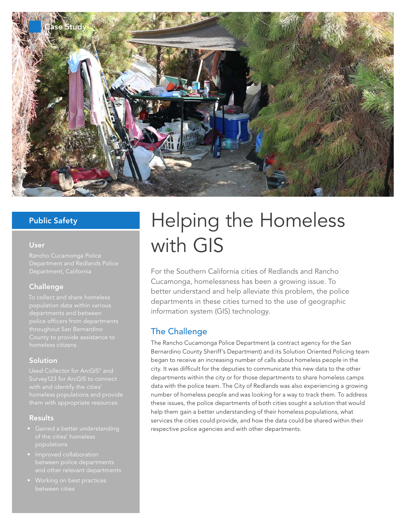

### Public Safety

### User

### Challenge

To collect and share homeless departments and between

### Solution

Used Collector for ArcGIS® and with and identify the cities'

### Results

- Gained a better understanding
- 
- 

# Helping the Homeless with GIS

For the Southern California cities of Redlands and Rancho Cucamonga, homelessness has been a growing issue. To better understand and help alleviate this problem, the police departments in these cities turned to the use of geographic information system (GIS) technology.

# The Challenge

The Rancho Cucamonga Police Department (a contract agency for the San Bernardino County Sheriff's Department) and its Solution Oriented Policing team began to receive an increasing number of calls about homeless people in the city. It was difficult for the deputies to communicate this new data to the other departments within the city or for those departments to share homeless camps data with the police team. The City of Redlands was also experiencing a growing number of homeless people and was looking for a way to track them. To address these issues, the police departments of both cities sought a solution that would help them gain a better understanding of their homeless populations, what services the cities could provide, and how the data could be shared within their respective police agencies and with other departments.